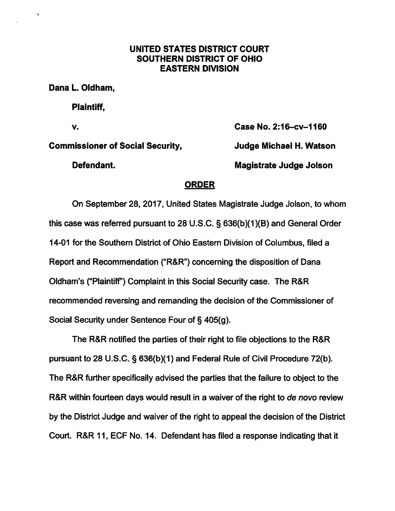## UNITED STATES DISTRICT COURT SOUTHERN DISTRICT OF OHIO EASTERN DIVISION

Dana L. Oldham,

Plaintiff,

Commissioner of Social Security, Judge Michael H. Watson

Defendant. Magistrate Judge Jolson

V. Case No. 2:16-cv-1160

## ORDER

On September 28, 2017, United States Magistrate Judge Jolson, to whom this case was referred pursuant to 28 U.S.C. § 636(b)(1)(B) and General Order 14-01 for the Southem District of Ohio Eastern Division of Columbus, filed a Report and Recommendation ("R&R") concerning the disposition of Dana Oldham's ("Plaintiff") Complaint in this Social Security case. The R&R recommended reversing and remanding the decision of the Commissioner of Social Security under Sentence Four of § 405(g).

The R&R notified the parties of their right to file objections to the R&R pursuant to 28 U.S.C. § 636(b)(1) and Federal Rule of Civil Procedure 72(b). The R&R further specifically advised the parties that the failure to object to the R&R within fourteen days would result in a waiver of the right to de novo review by the District Judge and waiver of the right to appeal the decision of the District Court. R&R 11, ECF No. 14. Defendant has filed a response indicating that it